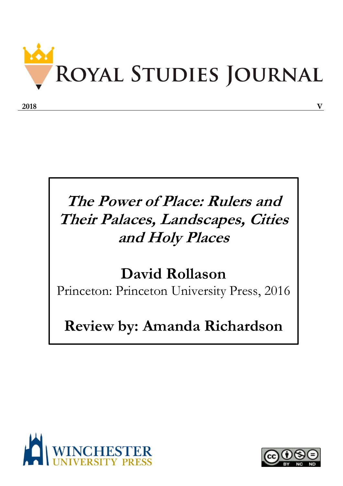

## **The Power of Place: Rulers and Their Palaces, Landscapes, Cities and Holy Places**

## **David Rollason**

Princeton: Princeton University Press, 2016

## **Review by: Amanda Richardson**



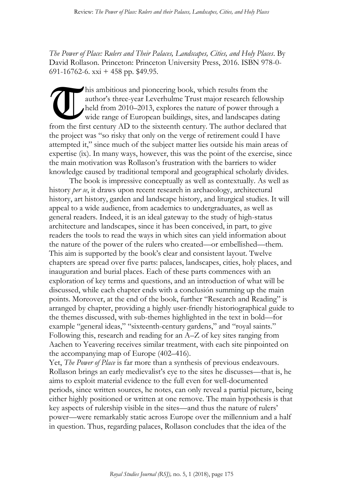*The Power of Place: Rulers and Their Palaces, Landscapes, Cities, and Holy Places*. By David Rollason. Princeton: Princeton University Press, 2016. ISBN 978-0- 691-16762-6. xxi + 458 pp.  $$49.95$ .

his ambitious and pioneering book, which results from the author's three-year Leverhulme Trust major research fellowship held from 2010–2013, explores the nature of power through a wide range of European buildings, sites, and landscapes dating from the first century AD to the sixteenth century. The author declared that the project was "so risky that only on the verge of retirement could I have attempted it," since much of the subject matter lies outside his main areas of expertise (ix). In many ways, however, this was the point of the exercise, since the main motivation was Rollason's frustration with the barriers to wider knowledge caused by traditional temporal and geographical scholarly divides.  $\overline{a}$ 

The book is impressive conceptually as well as contextually. As well as history *per se*, it draws upon recent research in archaeology, architectural history, art history, garden and landscape history, and liturgical studies. It will appeal to a wide audience, from academics to undergraduates, as well as general readers. Indeed, it is an ideal gateway to the study of high-status architecture and landscapes, since it has been conceived, in part, to give readers the tools to read the ways in which sites can yield information about the nature of the power of the rulers who created—or embellished—them. This aim is supported by the book's clear and consistent layout. Twelve chapters are spread over five parts: palaces, landscapes, cities, holy places, and inauguration and burial places. Each of these parts commences with an exploration of key terms and questions, and an introduction of what will be discussed, while each chapter ends with a conclusión summing up the main points. Moreover, at the end of the book, further "Research and Reading" is arranged by chapter, providing a highly user-friendly historiographical guide to the themes discussed, with sub-themes highlighted in the text in bold—for example "general ideas," "sixteenth-century gardens," and "royal saints." Following this, research and reading for an A–Z of key sites ranging from Aachen to Yeavering receives similar treatment, with each site pinpointed on the accompanying map of Europe (402–416).

Yet, *The Power of Place* is far more than a synthesis of previous endeavours. Rollason brings an early medievalist's eye to the sites he discusses—that is, he aims to exploit material evidence to the full even for well-documented periods, since written sources, he notes, can only reveal a partial picture, being either highly positioned or written at one remove. The main hypothesis is that key aspects of rulership visible in the sites—and thus the nature of rulers' power—were remarkably static across Europe over the millennium and a half in question. Thus, regarding palaces, Rollason concludes that the idea of the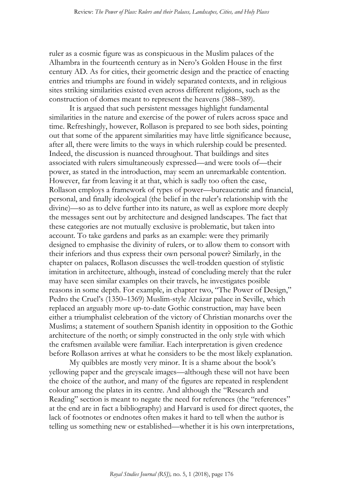ruler as a cosmic figure was as conspicuous in the Muslim palaces of the Alhambra in the fourteenth century as in Nero's Golden House in the first century AD. As for cities, their geometric design and the practice of enacting entries and triumphs are found in widely separated contexts, and in religious sites striking similarities existed even across different religions, such as the construction of domes meant to represent the heavens (388–389).

It is argued that such persistent messages highlight fundamental similarities in the nature and exercise of the power of rulers across space and time. Refreshingly, however, Rollason is prepared to see both sides, pointing out that some of the apparent similarities may have little significance because, after all, there were limits to the ways in which rulership could be presented. Indeed, the discussion is nuanced throughout. That buildings and sites associated with rulers simultaneously expressed—and were tools of—their power, as stated in the introduction, may seem an unremarkable contention. However, far from leaving it at that, which is sadly too often the case, Rollason employs a framework of types of power—bureaucratic and financial, personal, and finally ideological (the belief in the ruler's relationship with the divine)—so as to delve further into its nature, as well as explore more deeply the messages sent out by architecture and designed landscapes. The fact that these categories are not mutually exclusive is problematic, but taken into account. To take gardens and parks as an example: were they primarily designed to emphasise the divinity of rulers, or to allow them to consort with their inferiors and thus express their own personal power? Similarly, in the chapter on palaces, Rollason discusses the well-trodden question of stylistic imitation in architecture, although, instead of concluding merely that the ruler may have seen similar examples on their travels, he investigates posible reasons in some depth. For example, in chapter two, "The Power of Design," Pedro the Cruel's (1350–1369) Muslim-style Alcázar palace in Seville, which replaced an arguably more up-to-date Gothic construction, may have been either a triumphalist celebration of the victory of Christian monarchs over the Muslims; a statement of southern Spanish identity in opposition to the Gothic architecture of the north; or simply constructed in the only style with which the craftsmen available were familiar. Each interpretation is given credence before Rollason arrives at what he considers to be the most likely explanation.

My quibbles are mostly very minor. It is a shame about the book's yellowing paper and the greyscale images—although these will not have been the choice of the author, and many of the figures are repeated in resplendent colour among the plates in its centre. And although the "Research and Reading" section is meant to negate the need for references (the "references" at the end are in fact a bibliography) and Harvard is used for direct quotes, the lack of footnotes or endnotes often makes it hard to tell when the author is telling us something new or established—whether it is his own interpretations,